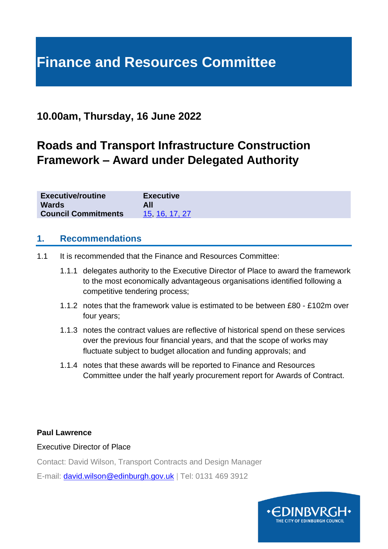# **Finance and Resources Committee**

## **10.00am, Thursday, 16 June 2022**

# **Roads and Transport Infrastructure Construction Framework – Award under Delegated Authority**

| <b>Executive/routine</b>   | <b>Executive</b> |
|----------------------------|------------------|
| <b>Wards</b>               | All              |
| <b>Council Commitments</b> | 15, 16, 17, 27   |

#### **1. Recommendations**

- 1.1 It is recommended that the Finance and Resources Committee:
	- 1.1.1 delegates authority to the Executive Director of Place to award the framework to the most economically advantageous organisations identified following a competitive tendering process;
	- 1.1.2 notes that the framework value is estimated to be between £80 £102m over four years;
	- 1.1.3 notes the contract values are reflective of historical spend on these services over the previous four financial years, and that the scope of works may fluctuate subject to budget allocation and funding approvals; and
	- 1.1.4 notes that these awards will be reported to Finance and Resources Committee under the half yearly procurement report for Awards of Contract.

#### **Paul Lawrence**

Executive Director of Place

Contact: David Wilson, Transport Contracts and Design Manager

E-mail: [david.wilson@edinburgh.gov.uk](mailto:david.wilson@edinburgh.gov.uk) | Tel: 0131 469 3912

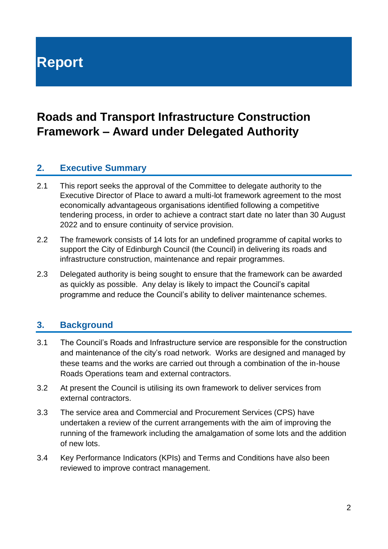# **Report**

# **Roads and Transport Infrastructure Construction Framework – Award under Delegated Authority**

#### **2. Executive Summary**

- 2.1 This report seeks the approval of the Committee to delegate authority to the Executive Director of Place to award a multi-lot framework agreement to the most economically advantageous organisations identified following a competitive tendering process, in order to achieve a contract start date no later than 30 August 2022 and to ensure continuity of service provision.
- 2.2 The framework consists of 14 lots for an undefined programme of capital works to support the City of Edinburgh Council (the Council) in delivering its roads and infrastructure construction, maintenance and repair programmes.
- 2.3 Delegated authority is being sought to ensure that the framework can be awarded as quickly as possible. Any delay is likely to impact the Council's capital programme and reduce the Council's ability to deliver maintenance schemes.

#### **3. Background**

- 3.1 The Council's Roads and Infrastructure service are responsible for the construction and maintenance of the city's road network. Works are designed and managed by these teams and the works are carried out through a combination of the in-house Roads Operations team and external contractors.
- 3.2 At present the Council is utilising its own framework to deliver services from external contractors.
- 3.3 The service area and Commercial and Procurement Services (CPS) have undertaken a review of the current arrangements with the aim of improving the running of the framework including the amalgamation of some lots and the addition of new lots.
- 3.4 Key Performance Indicators (KPIs) and Terms and Conditions have also been reviewed to improve contract management.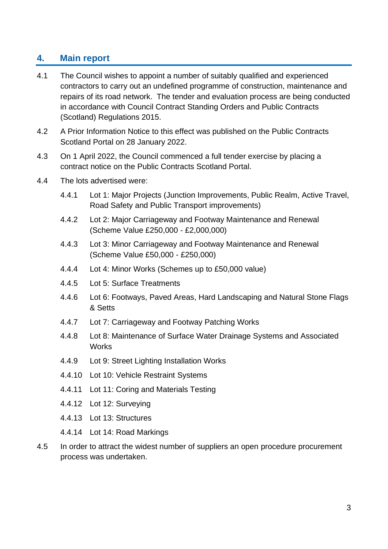#### **4. Main report**

- 4.1 The Council wishes to appoint a number of suitably qualified and experienced contractors to carry out an undefined programme of construction, maintenance and repairs of its road network. The tender and evaluation process are being conducted in accordance with Council Contract Standing Orders and Public Contracts (Scotland) Regulations 2015.
- 4.2 A Prior Information Notice to this effect was published on the Public Contracts Scotland Portal on 28 January 2022.
- 4.3 On 1 April 2022, the Council commenced a full tender exercise by placing a contract notice on the Public Contracts Scotland Portal.
- 4.4 The lots advertised were:
	- 4.4.1 Lot 1: Major Projects (Junction Improvements, Public Realm, Active Travel, Road Safety and Public Transport improvements)
	- 4.4.2 Lot 2: Major Carriageway and Footway Maintenance and Renewal (Scheme Value £250,000 - £2,000,000)
	- 4.4.3 Lot 3: Minor Carriageway and Footway Maintenance and Renewal (Scheme Value £50,000 - £250,000)
	- 4.4.4 Lot 4: Minor Works (Schemes up to £50,000 value)
	- 4.4.5 Lot 5: Surface Treatments
	- 4.4.6 Lot 6: Footways, Paved Areas, Hard Landscaping and Natural Stone Flags & Setts
	- 4.4.7 Lot 7: Carriageway and Footway Patching Works
	- 4.4.8 Lot 8: Maintenance of Surface Water Drainage Systems and Associated **Works**
	- 4.4.9 Lot 9: Street Lighting Installation Works
	- 4.4.10 Lot 10: Vehicle Restraint Systems
	- 4.4.11 Lot 11: Coring and Materials Testing
	- 4.4.12 Lot 12: Surveying
	- 4.4.13 Lot 13: Structures
	- 4.4.14 Lot 14: Road Markings
- 4.5 In order to attract the widest number of suppliers an open procedure procurement process was undertaken.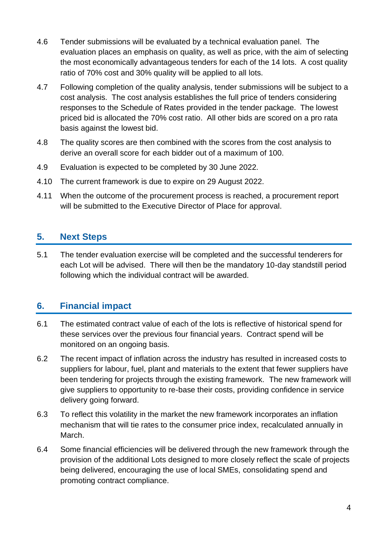- 4.6 Tender submissions will be evaluated by a technical evaluation panel. The evaluation places an emphasis on quality, as well as price, with the aim of selecting the most economically advantageous tenders for each of the 14 lots. A cost quality ratio of 70% cost and 30% quality will be applied to all lots.
- 4.7 Following completion of the quality analysis, tender submissions will be subject to a cost analysis. The cost analysis establishes the full price of tenders considering responses to the Schedule of Rates provided in the tender package. The lowest priced bid is allocated the 70% cost ratio. All other bids are scored on a pro rata basis against the lowest bid.
- 4.8 The quality scores are then combined with the scores from the cost analysis to derive an overall score for each bidder out of a maximum of 100.
- 4.9 Evaluation is expected to be completed by 30 June 2022.
- 4.10 The current framework is due to expire on 29 August 2022.
- 4.11 When the outcome of the procurement process is reached, a procurement report will be submitted to the Executive Director of Place for approval.

### **5. Next Steps**

5.1 The tender evaluation exercise will be completed and the successful tenderers for each Lot will be advised. There will then be the mandatory 10-day standstill period following which the individual contract will be awarded.

#### **6. Financial impact**

- 6.1 The estimated contract value of each of the lots is reflective of historical spend for these services over the previous four financial years. Contract spend will be monitored on an ongoing basis.
- 6.2 The recent impact of inflation across the industry has resulted in increased costs to suppliers for labour, fuel, plant and materials to the extent that fewer suppliers have been tendering for projects through the existing framework. The new framework will give suppliers to opportunity to re-base their costs, providing confidence in service delivery going forward.
- 6.3 To reflect this volatility in the market the new framework incorporates an inflation mechanism that will tie rates to the consumer price index, recalculated annually in March.
- 6.4 Some financial efficiencies will be delivered through the new framework through the provision of the additional Lots designed to more closely reflect the scale of projects being delivered, encouraging the use of local SMEs, consolidating spend and promoting contract compliance.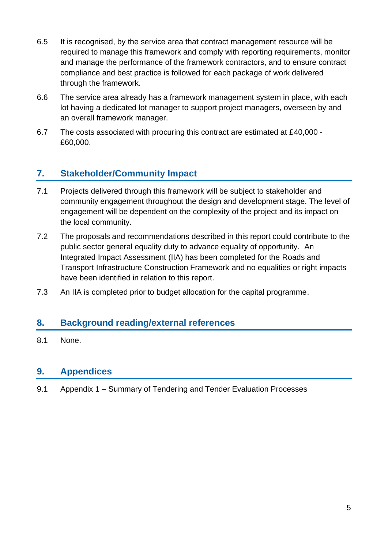- 6.5 It is recognised, by the service area that contract management resource will be required to manage this framework and comply with reporting requirements, monitor and manage the performance of the framework contractors, and to ensure contract compliance and best practice is followed for each package of work delivered through the framework.
- 6.6 The service area already has a framework management system in place, with each lot having a dedicated lot manager to support project managers, overseen by and an overall framework manager.
- 6.7 The costs associated with procuring this contract are estimated at £40,000 £60,000.

### **7. Stakeholder/Community Impact**

- 7.1 Projects delivered through this framework will be subject to stakeholder and community engagement throughout the design and development stage. The level of engagement will be dependent on the complexity of the project and its impact on the local community.
- 7.2 The proposals and recommendations described in this report could contribute to the public sector general equality duty to advance equality of opportunity. An Integrated Impact Assessment (IIA) has been completed for the Roads and Transport Infrastructure Construction Framework and no equalities or right impacts have been identified in relation to this report.
- 7.3 An IIA is completed prior to budget allocation for the capital programme.

#### **8. Background reading/external references**

8.1 None.

#### **9. Appendices**

9.1 Appendix 1 – Summary of Tendering and Tender Evaluation Processes